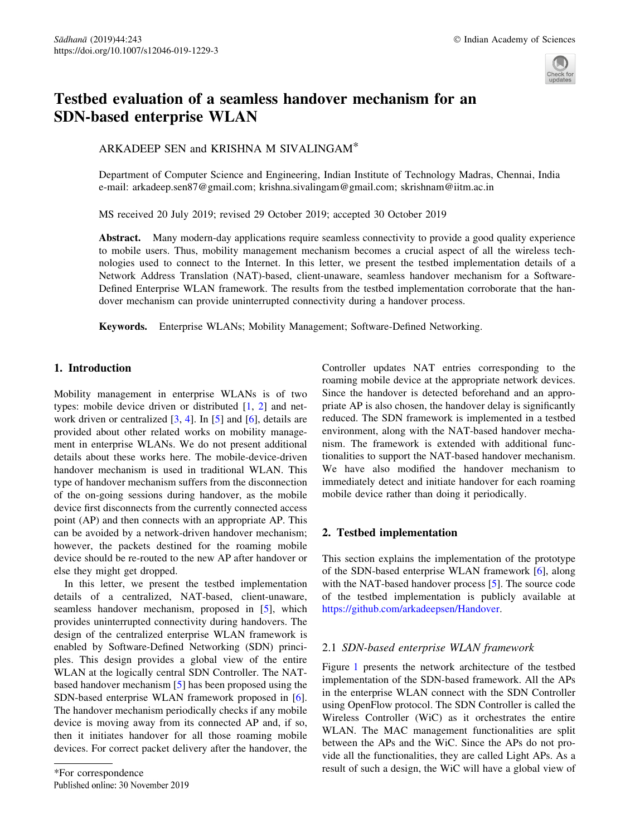

# Testbed evaluation of a seamless handover mechanism for an SDN-based enterprise WLAN

ARKADEEP SEN and KRISHNA M SIVALINGAM\*

Department of Computer Science and Engineering, Indian Institute of Technology Madras, Chennai, India e-mail: arkadeep.sen87@gmail.com; krishna.sivalingam@gmail.com; skrishnam@iitm.ac.in

MS received 20 July 2019; revised 29 October 2019; accepted 30 October 2019

Abstract. Many modern-day applications require seamless connectivity to provide a good quality experience to mobile users. Thus, mobility management mechanism becomes a crucial aspect of all the wireless technologies used to connect to the Internet. In this letter, we present the testbed implementation details of a Network Address Translation (NAT)-based, client-unaware, seamless handover mechanism for a Software-Defined Enterprise WLAN framework. The results from the testbed implementation corroborate that the handover mechanism can provide uninterrupted connectivity during a handover process.

Keywords. Enterprise WLANs; Mobility Management; Software-Defined Networking.

## 1. Introduction

Mobility management in enterprise WLANs is of two types: mobile device driven or distributed [1, 2] and network driven or centralized  $[3, 4]$ . In  $[5]$  and  $[6]$ , details are provided about other related works on mobility management in enterprise WLANs. We do not present additional details about these works here. The mobile-device-driven handover mechanism is used in traditional WLAN. This type of handover mechanism suffers from the disconnection of the on-going sessions during handover, as the mobile device first disconnects from the currently connected access point (AP) and then connects with an appropriate AP. This can be avoided by a network-driven handover mechanism; however, the packets destined for the roaming mobile device should be re-routed to the new AP after handover or else they might get dropped.

In this letter, we present the testbed implementation details of a centralized, NAT-based, client-unaware, seamless handover mechanism, proposed in [5], which provides uninterrupted connectivity during handovers. The design of the centralized enterprise WLAN framework is enabled by Software-Defined Networking (SDN) principles. This design provides a global view of the entire WLAN at the logically central SDN Controller. The NATbased handover mechanism [5] has been proposed using the SDN-based enterprise WLAN framework proposed in [6]. The handover mechanism periodically checks if any mobile device is moving away from its connected AP and, if so, then it initiates handover for all those roaming mobile devices. For correct packet delivery after the handover, the Controller updates NAT entries corresponding to the roaming mobile device at the appropriate network devices. Since the handover is detected beforehand and an appropriate AP is also chosen, the handover delay is significantly reduced. The SDN framework is implemented in a testbed environment, along with the NAT-based handover mechanism. The framework is extended with additional functionalities to support the NAT-based handover mechanism. We have also modified the handover mechanism to immediately detect and initiate handover for each roaming mobile device rather than doing it periodically.

## 2. Testbed implementation

This section explains the implementation of the prototype of the SDN-based enterprise WLAN framework [6], along with the NAT-based handover process [5]. The source code of the testbed implementation is publicly available at https://github.com/arkadeepsen/Handover.

## 2.1 SDN-based enterprise WLAN framework

Figure 1 presents the network architecture of the testbed implementation of the SDN-based framework. All the APs in the enterprise WLAN connect with the SDN Controller using OpenFlow protocol. The SDN Controller is called the Wireless Controller (WiC) as it orchestrates the entire WLAN. The MAC management functionalities are split between the APs and the WiC. Since the APs do not provide all the functionalities, they are called Light APs. As a For correspondence<br>
For correspondence<br>
Published online: 30 November 2019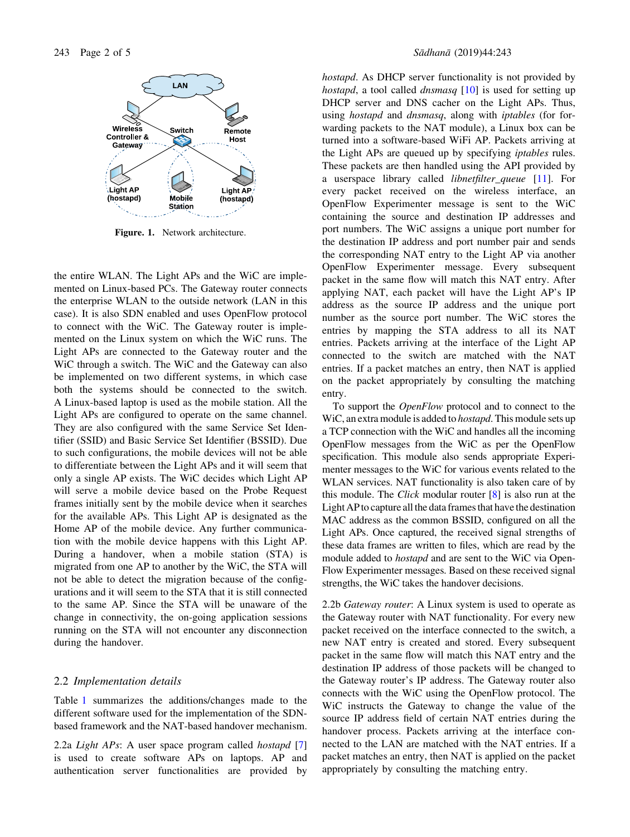

Figure. 1. Network architecture.

the entire WLAN. The Light APs and the WiC are implemented on Linux-based PCs. The Gateway router connects the enterprise WLAN to the outside network (LAN in this case). It is also SDN enabled and uses OpenFlow protocol to connect with the WiC. The Gateway router is implemented on the Linux system on which the WiC runs. The Light APs are connected to the Gateway router and the WiC through a switch. The WiC and the Gateway can also be implemented on two different systems, in which case both the systems should be connected to the switch. A Linux-based laptop is used as the mobile station. All the Light APs are configured to operate on the same channel. They are also configured with the same Service Set Identifier (SSID) and Basic Service Set Identifier (BSSID). Due to such configurations, the mobile devices will not be able to differentiate between the Light APs and it will seem that only a single AP exists. The WiC decides which Light AP will serve a mobile device based on the Probe Request frames initially sent by the mobile device when it searches for the available APs. This Light AP is designated as the Home AP of the mobile device. Any further communication with the mobile device happens with this Light AP. During a handover, when a mobile station (STA) is migrated from one AP to another by the WiC, the STA will not be able to detect the migration because of the configurations and it will seem to the STA that it is still connected to the same AP. Since the STA will be unaware of the change in connectivity, the on-going application sessions running on the STA will not encounter any disconnection during the handover.

## 2.2 Implementation details

Table 1 summarizes the additions/changes made to the different software used for the implementation of the SDNbased framework and the NAT-based handover mechanism.

2.2a Light APs: A user space program called hostapd [7] is used to create software APs on laptops. AP and authentication server functionalities are provided by hostapd. As DHCP server functionality is not provided by hostapd, a tool called dnsmasq [10] is used for setting up DHCP server and DNS cacher on the Light APs. Thus, using hostapd and dnsmasq, along with iptables (for forwarding packets to the NAT module), a Linux box can be turned into a software-based WiFi AP. Packets arriving at the Light APs are queued up by specifying iptables rules. These packets are then handled using the API provided by a userspace library called libnetfilter\_queue [11]. For every packet received on the wireless interface, an OpenFlow Experimenter message is sent to the WiC containing the source and destination IP addresses and port numbers. The WiC assigns a unique port number for the destination IP address and port number pair and sends the corresponding NAT entry to the Light AP via another OpenFlow Experimenter message. Every subsequent packet in the same flow will match this NAT entry. After applying NAT, each packet will have the Light AP's IP address as the source IP address and the unique port number as the source port number. The WiC stores the entries by mapping the STA address to all its NAT entries. Packets arriving at the interface of the Light AP connected to the switch are matched with the NAT entries. If a packet matches an entry, then NAT is applied on the packet appropriately by consulting the matching entry.

To support the OpenFlow protocol and to connect to the WiC, an extra module is added to *hostapd*. This module sets up a TCP connection with the WiC and handles all the incoming OpenFlow messages from the WiC as per the OpenFlow specification. This module also sends appropriate Experimenter messages to the WiC for various events related to the WLAN services. NAT functionality is also taken care of by this module. The *Click* modular router  $[8]$  is also run at the Light AP to capture all the data frames that have the destination MAC address as the common BSSID, configured on all the Light APs. Once captured, the received signal strengths of these data frames are written to files, which are read by the module added to hostapd and are sent to the WiC via Open-Flow Experimenter messages. Based on these received signal strengths, the WiC takes the handover decisions.

2.2b Gateway router: A Linux system is used to operate as the Gateway router with NAT functionality. For every new packet received on the interface connected to the switch, a new NAT entry is created and stored. Every subsequent packet in the same flow will match this NAT entry and the destination IP address of those packets will be changed to the Gateway router's IP address. The Gateway router also connects with the WiC using the OpenFlow protocol. The WiC instructs the Gateway to change the value of the source IP address field of certain NAT entries during the handover process. Packets arriving at the interface connected to the LAN are matched with the NAT entries. If a packet matches an entry, then NAT is applied on the packet appropriately by consulting the matching entry.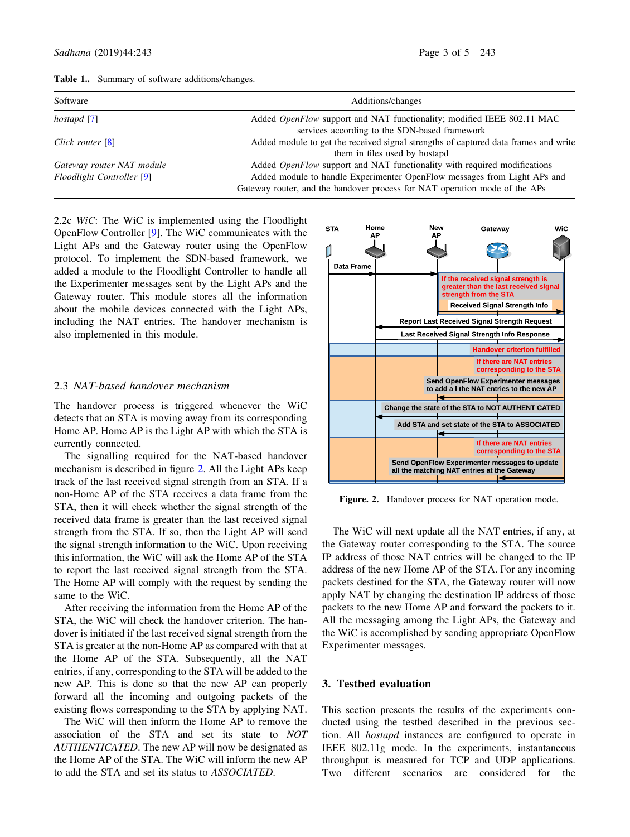| Software                         | Additions/changes                                                                   |
|----------------------------------|-------------------------------------------------------------------------------------|
| hostapd [7]                      | Added <i>OpenFlow</i> support and NAT functionality; modified IEEE 802.11 MAC       |
|                                  | services according to the SDN-based framework                                       |
| Click router [8]                 | Added module to get the received signal strengths of captured data frames and write |
|                                  | them in files used by hostapd                                                       |
| Gateway router NAT module        | Added OpenFlow support and NAT functionality with required modifications            |
| <b>Floodlight Controller</b> [9] | Added module to handle Experimenter OpenFlow messages from Light APs and            |
|                                  | Gateway router, and the handover process for NAT operation mode of the APs          |

Table 1.. Summary of software additions/changes.

2.2c WiC: The WiC is implemented using the Floodlight OpenFlow Controller [9]. The WiC communicates with the Light APs and the Gateway router using the OpenFlow protocol. To implement the SDN-based framework, we added a module to the Floodlight Controller to handle all the Experimenter messages sent by the Light APs and the Gateway router. This module stores all the information about the mobile devices connected with the Light APs, including the NAT entries. The handover mechanism is also implemented in this module.

## 2.3 NAT-based handover mechanism

The handover process is triggered whenever the WiC detects that an STA is moving away from its corresponding Home AP. Home AP is the Light AP with which the STA is currently connected.

The signalling required for the NAT-based handover mechanism is described in figure 2. All the Light APs keep track of the last received signal strength from an STA. If a non-Home AP of the STA receives a data frame from the STA, then it will check whether the signal strength of the received data frame is greater than the last received signal strength from the STA. If so, then the Light AP will send the signal strength information to the WiC. Upon receiving this information, the WiC will ask the Home AP of the STA to report the last received signal strength from the STA. The Home AP will comply with the request by sending the same to the WiC.

After receiving the information from the Home AP of the STA, the WiC will check the handover criterion. The handover is initiated if the last received signal strength from the STA is greater at the non-Home AP as compared with that at the Home AP of the STA. Subsequently, all the NAT entries, if any, corresponding to the STA will be added to the new AP. This is done so that the new AP can properly forward all the incoming and outgoing packets of the existing flows corresponding to the STA by applying NAT.

The WiC will then inform the Home AP to remove the association of the STA and set its state to NOT AUTHENTICATED. The new AP will now be designated as the Home AP of the STA. The WiC will inform the new AP to add the STA and set its status to ASSOCIATED.



Figure. 2. Handover process for NAT operation mode.

The WiC will next update all the NAT entries, if any, at the Gateway router corresponding to the STA. The source IP address of those NAT entries will be changed to the IP address of the new Home AP of the STA. For any incoming packets destined for the STA, the Gateway router will now apply NAT by changing the destination IP address of those packets to the new Home AP and forward the packets to it. All the messaging among the Light APs, the Gateway and the WiC is accomplished by sending appropriate OpenFlow Experimenter messages.

#### 3. Testbed evaluation

This section presents the results of the experiments conducted using the testbed described in the previous section. All hostapd instances are configured to operate in IEEE 802.11g mode. In the experiments, instantaneous throughput is measured for TCP and UDP applications. Two different scenarios are considered for the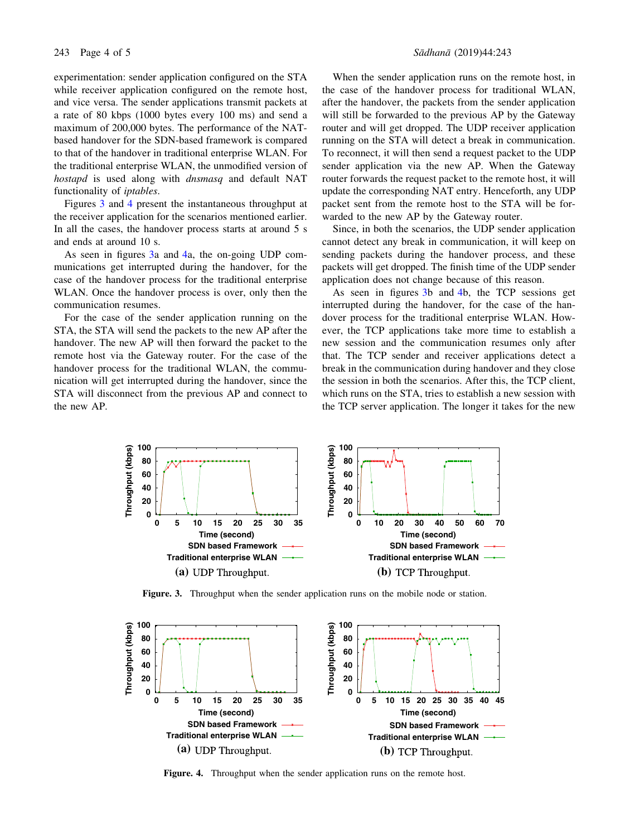experimentation: sender application configured on the STA while receiver application configured on the remote host, and vice versa. The sender applications transmit packets at a rate of 80 kbps (1000 bytes every 100 ms) and send a maximum of 200,000 bytes. The performance of the NATbased handover for the SDN-based framework is compared to that of the handover in traditional enterprise WLAN. For the traditional enterprise WLAN, the unmodified version of hostapd is used along with dnsmasq and default NAT functionality of iptables.

Figures 3 and 4 present the instantaneous throughput at the receiver application for the scenarios mentioned earlier. In all the cases, the handover process starts at around 5 s and ends at around 10 s.

As seen in figures 3a and 4a, the on-going UDP communications get interrupted during the handover, for the case of the handover process for the traditional enterprise WLAN. Once the handover process is over, only then the communication resumes.

For the case of the sender application running on the STA, the STA will send the packets to the new AP after the handover. The new AP will then forward the packet to the remote host via the Gateway router. For the case of the handover process for the traditional WLAN, the communication will get interrupted during the handover, since the STA will disconnect from the previous AP and connect to the new AP.

#### 243 Page 4 of 5 Sådhanå (2019) 44:243

When the sender application runs on the remote host, in the case of the handover process for traditional WLAN, after the handover, the packets from the sender application will still be forwarded to the previous AP by the Gateway router and will get dropped. The UDP receiver application running on the STA will detect a break in communication. To reconnect, it will then send a request packet to the UDP sender application via the new AP. When the Gateway router forwards the request packet to the remote host, it will update the corresponding NAT entry. Henceforth, any UDP packet sent from the remote host to the STA will be forwarded to the new AP by the Gateway router.

Since, in both the scenarios, the UDP sender application cannot detect any break in communication, it will keep on sending packets during the handover process, and these packets will get dropped. The finish time of the UDP sender application does not change because of this reason.

As seen in figures 3b and 4b, the TCP sessions get interrupted during the handover, for the case of the handover process for the traditional enterprise WLAN. However, the TCP applications take more time to establish a new session and the communication resumes only after that. The TCP sender and receiver applications detect a break in the communication during handover and they close the session in both the scenarios. After this, the TCP client, which runs on the STA, tries to establish a new session with the TCP server application. The longer it takes for the new



Figure. 3. Throughput when the sender application runs on the mobile node or station.



Figure. 4. Throughput when the sender application runs on the remote host.